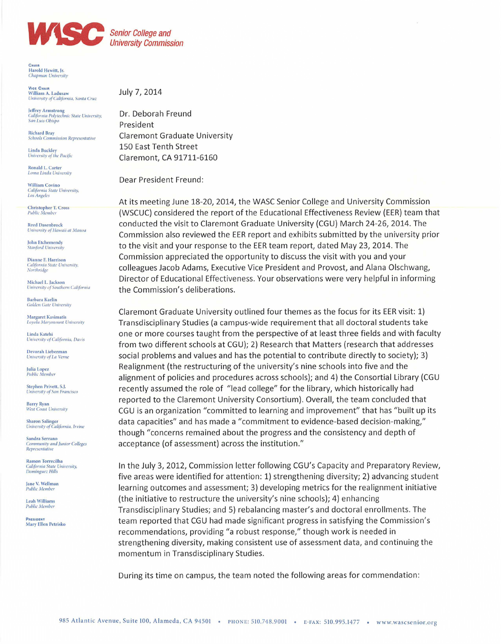

**University Commission** 

CHAIL Harold Hewitt, Jr. Chan

**VICE CHAIR** William A. Ladusaw University of California, Santa Cruz

Jeffrey Armstrong<br>California Polytechnic State University, San Luis Obispo

**Richard Bray Schools Commission Representative** 

Linda Buckley University of the Pacific

Ronald L. Carter Loma Linda University

**William Covino** California State University,<br>Los Angeles

Christopher T. Cross<br>Public Member

**Reed Dasenbrock** University of Hawaii at Manoa

John Etchemendy **Stanford University** 

Dianne F. Harrison California State University, Northridge

Michael L. Jackson University of Southern California

Barbara Karlin **Golden Gate University** 

Margaret Kasimatis<br>Loyola Marymount University

Linda Katehi University of California, Davis

Devorah Lieberman University of La Verne

Julia Lopez<br>Public Member

Stephen Privett, S.J. University of San Francisco

**Barry Ryan** West Coast University

**Sharon Salinger** University of California, Irvine

Sandra Serrano Community and Junior Colleges<br>Representative

Ramon Torrecilha California State University, Dominguez Hills

Jane V. Wellman Public Membe

Leah Williams **Public Membe** 

PRESIDENT Mary Ellen Petrisko July 7, 2014

Dr. Deborah Freund President **Claremont Graduate University** 150 East Tenth Street Claremont, CA 91711-6160

Dear President Freund:

At its meeting June 18-20, 2014, the WASC Senior College and University Commission (WSCUC) considered the report of the Educational Effectiveness Review (EER) team that conducted the visit to Claremont Graduate University (CGU) March 24-26, 2014. The Commission also reviewed the EER report and exhibits submitted by the university prior to the visit and your response to the EER team report, dated May 23, 2014. The Commission appreciated the opportunity to discuss the visit with you and your colleagues Jacob Adams, Executive Vice President and Provost, and Alana Olschwang, Director of Educational Effectiveness. Your observations were very helpful in informing the Commission's deliberations.

Claremont Graduate University outlined four themes as the focus for its EER visit: 1) Transdisciplinary Studies (a campus-wide requirement that all doctoral students take one or more courses taught from the perspective of at least three fields and with faculty from two different schools at CGU); 2) Research that Matters (research that addresses social problems and values and has the potential to contribute directly to society); 3) Realignment (the restructuring of the university's nine schools into five and the alignment of policies and procedures across schools); and 4) the Consortial Library (CGU recently assumed the role of "lead college" for the library, which historically had reported to the Claremont University Consortium). Overall, the team concluded that CGU is an organization "committed to learning and improvement" that has "built up its data capacities" and has made a "commitment to evidence-based decision-making," though "concerns remained about the progress and the consistency and depth of acceptance (of assessment) across the institution."

In the July 3, 2012, Commission letter following CGU's Capacity and Preparatory Review, five areas were identified for attention: 1) strengthening diversity; 2) advancing student learning outcomes and assessment; 3) developing metrics for the realignment initiative (the initiative to restructure the university's nine schools); 4) enhancing Transdisciplinary Studies; and 5) rebalancing master's and doctoral enrollments. The team reported that CGU had made significant progress in satisfying the Commission's recommendations, providing "a robust response," though work is needed in strengthening diversity, making consistent use of assessment data, and continuing the momentum in Transdisciplinary Studies.

During its time on campus, the team noted the following areas for commendation: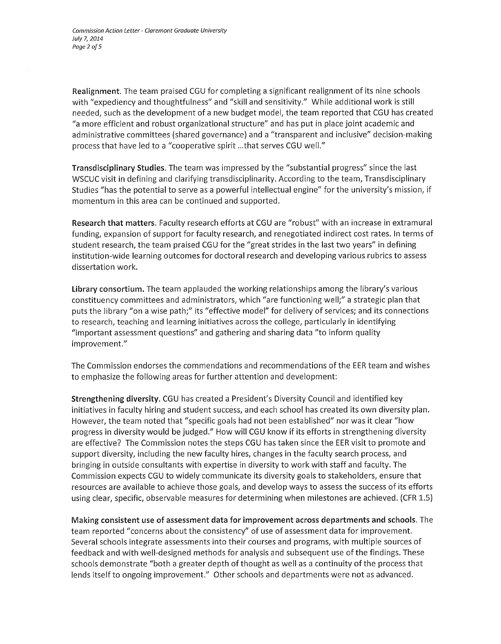Realignment. The team praised CGU for completing a significant realignment of its nine schools with "expediency and thoughtfulness" and "skill and sensitivity." While additional work is still needed, such as the development of a new budget model, the team reported that CGU has created "a more efficient and robust organizational structure" and has put in place joint academic and administrative committees (shared governance) and a "transparent and inclusive" decision-making process that have led to a "cooperative spirit ... that serves CGU well."

Transdisciplinary Studies. The team was impressed by the "substantial progress" since the last WSCUC visit in defining and clarifying transdisciplinarity. According to the team, Transdisciplinary Studies "has the potential to serve as a powerful intellectual engine" for the university's mission, if momentum in this area can be continued and supported.

Research that matters. Faculty research efforts at CGU are "robust" with an increase in extramural funding, expansion of support for faculty research, and renegotiated indirect cost rates. In terms of student research, the team praised CGU for the "great strides in the last two years" in defining institution-wide learning outcomes for doctoral research and developing various rubrics to assess dissertation work.

Library consortium. The team applauded the working relationships among the library's various constituency committees and administrators, which "are functioning well;" a strategic plan that puts the library "on a wise path;" its "effective model" for delivery of services; and its connections to research, teaching and learning initiatives across the college, particularly in identifying "important assessment questions" and gathering and sharing data "to inform quality improvement."

The Commission endorses the commendations and recommendations of the EER team and wishes to emphasize the following areas for further attention and development:

Strengthening diversity. CGU has created a President's Diversity Council and identified key initiatives in faculty hiring and student success, and each school has created its own diversity plan. However, the team noted that "specific goals had not been established" nor was it clear "how progress in diversity would be judged." How will CGU know if its efforts in strengthening diversity are effective? The Commission notes the steps CGU has taken since the EER visit to promote and support diversity, including the new faculty hires, changes in the faculty search process, and bringing in outside consultants with expertise in diversity to work with staff and faculty. The Commission expects CGU to widely communicate its diversity goals to stakeholders, ensure that resources are available to achieve those goals, and develop ways to assess the success of its efforts using clear, specific, observable measures for determining when milestones are achieved. (CFR 1.5)

Making consistent use of assessment data for improvement across departments and schools. The team reported "concerns about the consistency" of use of assessment data for improvement. Several schools integrate assessments into their courses and programs, with multiple sources of feedback and with well-designed methods for analysis and subsequent use ofthe findings. These schools demonstrate "both a greater depth of thought as well as a continuity of the process that lends itself to ongoing improvement." Other schools and departments were not as advanced.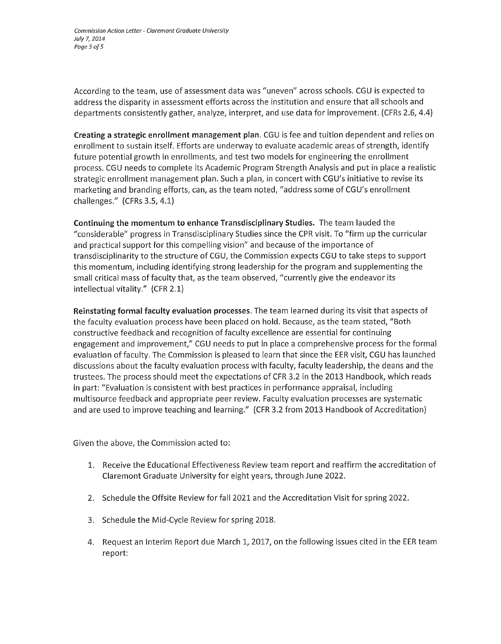*Commission Action Letter* - *Claremont Graduate University July* 7, *2014 Page* 3 *aIS* 

According to the team, use of assessment data was "uneven" across schools. CGU is expected to address the disparity in assessment efforts across the institution and ensure that all schools and departments consistently gather, analyze, interpret, and use data for improvement. (CFRs 2.6, 4.4)

Creating a strategic enrollment management plan. CGU is fee and tuition dependent and relies on enrollment to sustain itself. Efforts are underway to evaluate academic areas of strength, identify future potential growth in enrollments, and test two models for engineering the enrollment process. CGU needs to complete its Academic Program Strength Analysis and put in place a realistic strategic enrollment management plan. Such a plan, in concert with CGU's initiative to revise its marketing and branding efforts, can, as the team noted, "address some of CGU's enrollment challenges." (CFRs 3.5, 4.1)

Continuing the momentum to enhance Transdisciplinary Studies. The team lauded the {{considerable" progress in Transdisciplinary Studies since the CPR visit. To {{firm up the curricular and practical support for this compelling vision" and because of the importance of transdisciplinarity to the structure of CGU, the Commission expects CGU to take steps to support this momentum, including identifying strong leadership for the program and supplementing the small critical mass of faculty that, as the team observed, "currently give the endeavor its intellectual vitality." (CFR 2.1)

Reinstating formal faculty evaluation processes. The team learned during its visit that aspects of the faculty evaluation process have been placed on hold. Because, as the team stated, "Both constructive feedback and recognition of faculty excellence are essential for continuing engagement and improvement," CGU needs to put in place a comprehensive process for the formal evaluation of faculty. The Commission is pleased to learn that since the EER visit, CGU has launched discussions about the faculty evaluation process with faculty, faculty leadership, the deans and the trustees. The process should meet the expectations of CFR 3.2 in the 2013 Handbook, which reads in part: "Evaluation is consistent with best practices in performance appraisal, including multisource feedback and appropriate peer review. Faculty evaluation processes are systematic and are used to improve teaching and learning." (CFR 3.2 from 2013 Handbook of Accreditation)

Given the above, the Commission acted to:

- 1. Receive the Educational Effectiveness Review team report and reaffirm the accreditation of Claremont Graduate University for eight years, through June 2022.
- 2. Schedule the Offsite Review for fall 2021 and the Accreditation Visit for spring 2022.
- 3. Schedule the Mid-Cycle Review for spring 2018.
- 4. Request an Interim Report due March 1, 2017, on the following issues cited in the EER team report: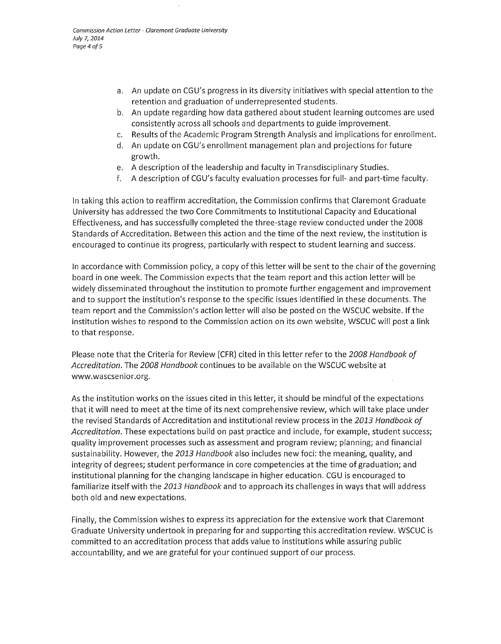- a. An update on CGU's progress in its diversity initiatives with special attention to the retention and graduation of underrepresented students.
- b. An update regarding how data gathered about student learning outcomes are used consistently across all schools and departments to guide improvement.
- c. Results of the Academic Program Strength Analysis and implications for enrollment.
- d. An update on CGU's enrollment management plan and projections for future growth.
- e. A description of the leadership and faculty in Transdisciplinary Studies.
- f. A description of CGU's faculty evaluation processes for full- and part-time faculty.

In taking this action to reaffirm accreditation, the Commission confirms that Claremont Graduate University has addressed the two Core Commitments to Institutional Capacity and Educational Effectiveness, and has successfully completed the three-stage review conducted under the 2008 Standards of Accreditation. Between this action and the time of the next review, the institution is encouraged to continue its progress, particularly with respect to student learning and success.

In accordance with Commission policy, a copy of this letter will be sent to the chair of the governing board in one week. The Commission expects that the team report and this action letter will be widely disseminated throughout the institution to promote further engagement and improvement and to support the institution's response to the specific issues identified in these documents. The team report and the Commission's action letter will also be posted on the WSCUC website. If the institution wishes to respond to the Commission action on its own website, WSCUC will post a link to that response.

Please note that the Criteria for Review (CFR) cited in this letter refer to the 2008 Handbook of Accreditation. The 2008 Handbook continues to be available on the WSCUC website at www.wascsenior.org.

As the institution works on the issues cited in this letter, it should be mindful of the expectations that it will need to meet at the time of its next comprehensive review, which will take place under the revised Standards of Accreditation and institutional review process in the 2013 Handbook of Accreditation. These expectations build on past practice and include, for example, student success; quality improvement processes such as assessment and program review; planning; and financial sustainability. However, the 2013 Handbook also includes new foci: the meaning, quality, and integrity of degrees; student performance in core competencies at the time of graduation; and institutional planning for the changing landscape in higher education. CGU is encouraged to familiarize itself with the 2013 Handbook and to approach its challenges in ways that will address both old and new expectations.

Finally, the Commission wishes to express its appreciation for the extensive work that Claremont Graduate University undertook in preparing for and supporting this accreditation review. WSCUC is committed to an accreditation process that adds value to institutions while assuring public accountability, and we are grateful for your continued support of our process.